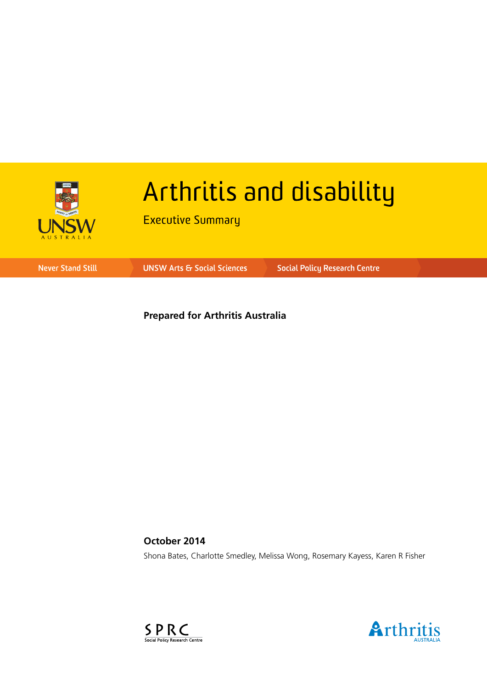

# Arthritis and disability

**Executive Summary** 

**Never Stand Still** 

**UNSW Arts & Social Sciences** 

**Social Policy Research Centre** 

**Prepared for Arthritis Australia**

**October 2014** Shona Bates, Charlotte Smedley, Melissa Wong, Rosemary Kayess, Karen R Fisher



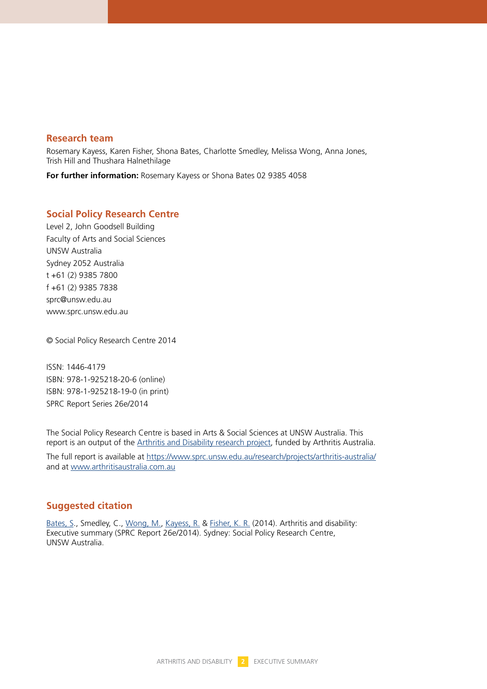#### **Research team**

Rosemary Kayess, Karen Fisher, Shona Bates, Charlotte Smedley, Melissa Wong, Anna Jones, Trish Hill and Thushara Halnethilage

**For further information:** Rosemary Kayess or Shona Bates 02 9385 4058

#### **Social Policy Research Centre**

Level 2, John Goodsell Building Faculty of Arts and Social Sciences UNSW Australia Sydney 2052 Australia t +61 (2) 9385 7800 f +61 (2) 9385 7838 sprc@unsw.edu.au www.sprc.unsw.edu.au

© Social Policy Research Centre 2014

ISSN: 1446-4179 ISBN: 978-1-925218-20-6 (online) ISBN: 978-1-925218-19-0 (in print) SPRC Report Series 26e/2014

The Social Policy Research Centre is based in Arts & Social Sciences at UNSW Australia. This report is an output of th[e Arthritis and Disability research project,](https://www.sprc.unsw.edu.au/research/projects/arthritis-australia/) funded by Arthritis Australia.

The full report is available at<https://www.sprc.unsw.edu.au/research/projects/arthritis-australia/> and a[t www.arthritisaustralia.com.au](www.arthritisaustralia.com.au)

#### **Suggested citation**

[Bates, S.,](https://www.sprc.unsw.edu.au/about-us/people/shona-bates) Smedley, C., [Wong, M.,](https://www.sprc.unsw.edu.au/about-us/people/melissa-wong/) [Kayess, R.](https://www.sprc.unsw.edu.au/about-us/people/rosemary-kayess/) & [Fisher, K. R.](https://www.sprc.unsw.edu.au/about-us/people/karen-fisher/) (2014). Arthritis and disability: Executive summary (SPRC Report 26e/2014). Sydney: Social Policy Research Centre, UNSW Australia.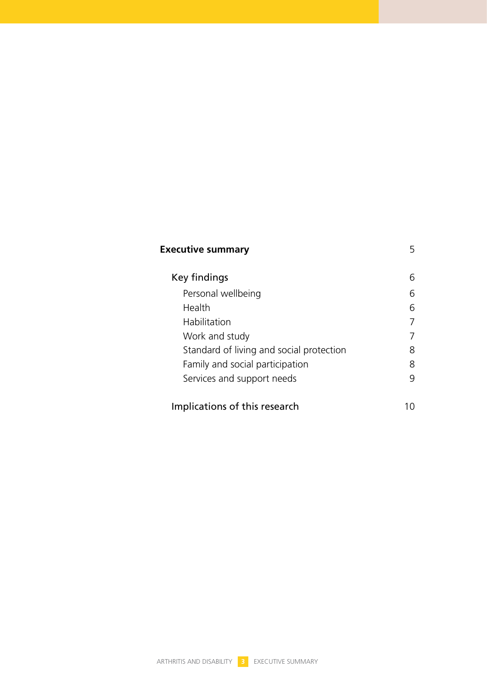| <b>Executive summary</b>                 |   |
|------------------------------------------|---|
| Key findings                             | 6 |
| Personal wellbeing                       | Б |
| Health                                   | 6 |
| Habilitation                             |   |
| Work and study                           |   |
| Standard of living and social protection | 8 |
| Family and social participation          | 8 |
| Services and support needs               | 9 |
|                                          |   |
| Implications of this research            |   |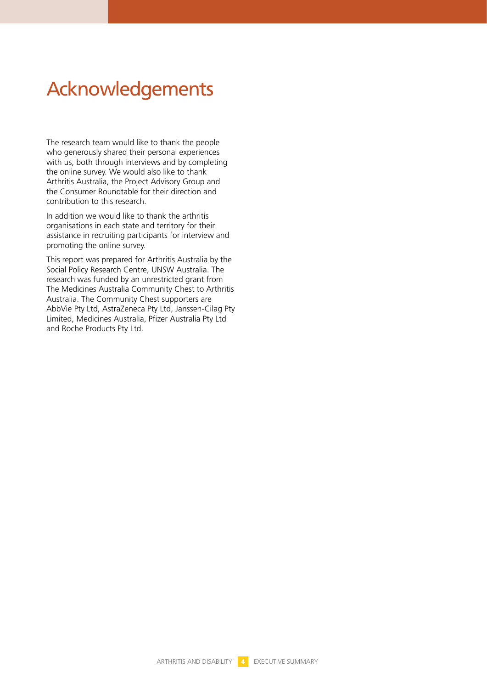### Acknowledgements

The research team would like to thank the people who generously shared their personal experiences with us, both through interviews and by completing the online survey. We would also like to thank Arthritis Australia, the Project Advisory Group and the Consumer Roundtable for their direction and contribution to this research.

In addition we would like to thank the arthritis organisations in each state and territory for their assistance in recruiting participants for interview and promoting the online survey.

This report was prepared for Arthritis Australia by the Social Policy Research Centre, UNSW Australia. The research was funded by an unrestricted grant from The Medicines Australia Community Chest to Arthritis Australia. The Community Chest supporters are AbbVie Pty Ltd, AstraZeneca Pty Ltd, Janssen-Cilag Pty Limited, Medicines Australia, Pfizer Australia Pty Ltd and Roche Products Pty Ltd.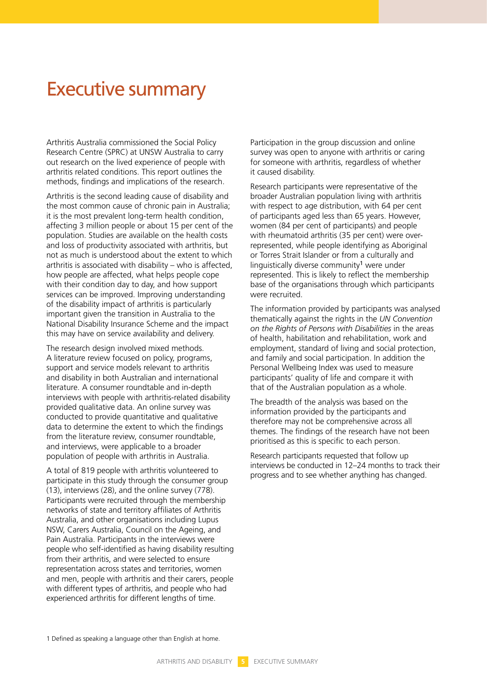### Executive summary

Arthritis Australia commissioned the Social Policy Research Centre (SPRC) at UNSW Australia to carry out research on the lived experience of people with arthritis related conditions. This report outlines the methods, findings and implications of the research.

Arthritis is the second leading cause of disability and the most common cause of chronic pain in Australia; it is the most prevalent long-term health condition, affecting 3 million people or about 15 per cent of the population. Studies are available on the health costs and loss of productivity associated with arthritis, but not as much is understood about the extent to which arthritis is associated with disability – who is affected, how people are affected, what helps people cope with their condition day to day, and how support services can be improved. Improving understanding of the disability impact of arthritis is particularly important given the transition in Australia to the National Disability Insurance Scheme and the impact this may have on service availability and delivery.

The research design involved mixed methods. A literature review focused on policy, programs, support and service models relevant to arthritis and disability in both Australian and international literature. A consumer roundtable and in-depth interviews with people with arthritis-related disability provided qualitative data. An online survey was conducted to provide quantitative and qualitative data to determine the extent to which the findings from the literature review, consumer roundtable, and interviews, were applicable to a broader population of people with arthritis in Australia.

A total of 819 people with arthritis volunteered to participate in this study through the consumer group (13), interviews (28), and the online survey (778). Participants were recruited through the membership networks of state and territory affiliates of Arthritis Australia, and other organisations including Lupus NSW, Carers Australia, Council on the Ageing, and Pain Australia. Participants in the interviews were people who self-identified as having disability resulting from their arthritis, and were selected to ensure representation across states and territories, women and men, people with arthritis and their carers, people with different types of arthritis, and people who had experienced arthritis for different lengths of time.

Participation in the group discussion and online survey was open to anyone with arthritis or caring for someone with arthritis, regardless of whether it caused disability.

Research participants were representative of the broader Australian population living with arthritis with respect to age distribution, with 64 per cent of participants aged less than 65 years. However, women (84 per cent of participants) and people with rheumatoid arthritis (35 per cent) were overrepresented, while people identifying as Aboriginal or Torres Strait Islander or from a culturally and linguistically diverse community<sup>1</sup> were under represented. This is likely to reflect the membership base of the organisations through which participants were recruited.

The information provided by participants was analysed thematically against the rights in the *UN Convention on the Rights of Persons with Disabilities* in the areas of health, habilitation and rehabilitation, work and employment, standard of living and social protection, and family and social participation. In addition the Personal Wellbeing Index was used to measure participants' quality of life and compare it with that of the Australian population as a whole.

The breadth of the analysis was based on the information provided by the participants and therefore may not be comprehensive across all themes. The findings of the research have not been prioritised as this is specific to each person.

Research participants requested that follow up interviews be conducted in 12–24 months to track their progress and to see whether anything has changed.

1 Defined as speaking a language other than English at home.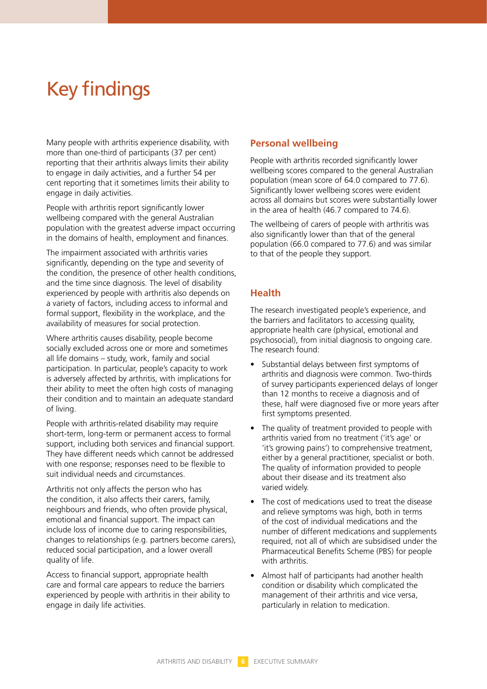## Key findings

Many people with arthritis experience disability, with more than one-third of participants (37 per cent) reporting that their arthritis always limits their ability to engage in daily activities, and a further 54 per cent reporting that it sometimes limits their ability to engage in daily activities.

People with arthritis report significantly lower wellbeing compared with the general Australian population with the greatest adverse impact occurring in the domains of health, employment and finances.

The impairment associated with arthritis varies significantly, depending on the type and severity of the condition, the presence of other health conditions, and the time since diagnosis. The level of disability experienced by people with arthritis also depends on a variety of factors, including access to informal and formal support, flexibility in the workplace, and the availability of measures for social protection.

Where arthritis causes disability, people become socially excluded across one or more and sometimes all life domains – study, work, family and social participation. In particular, people's capacity to work is adversely affected by arthritis, with implications for their ability to meet the often high costs of managing their condition and to maintain an adequate standard of living.

People with arthritis-related disability may require short-term, long-term or permanent access to formal support, including both services and financial support. They have different needs which cannot be addressed with one response; responses need to be flexible to suit individual needs and circumstances.

Arthritis not only affects the person who has the condition, it also affects their carers, family, neighbours and friends, who often provide physical, emotional and financial support. The impact can include loss of income due to caring responsibilities, changes to relationships (e.g. partners become carers), reduced social participation, and a lower overall quality of life.

Access to financial support, appropriate health care and formal care appears to reduce the barriers experienced by people with arthritis in their ability to engage in daily life activities.

#### **Personal wellbeing**

People with arthritis recorded significantly lower wellbeing scores compared to the general Australian population (mean score of 64.0 compared to 77.6). Significantly lower wellbeing scores were evident across all domains but scores were substantially lower in the area of health (46.7 compared to 74.6).

The wellbeing of carers of people with arthritis was also significantly lower than that of the general population (66.0 compared to 77.6) and was similar to that of the people they support.

#### **Health**

The research investigated people's experience, and the barriers and facilitators to accessing quality, appropriate health care (physical, emotional and psychosocial), from initial diagnosis to ongoing care. The research found:

- Substantial delays between first symptoms of arthritis and diagnosis were common. Two-thirds of survey participants experienced delays of longer than 12 months to receive a diagnosis and of these, half were diagnosed five or more years after first symptoms presented.
- The quality of treatment provided to people with arthritis varied from no treatment ('it's age' or 'it's growing pains') to comprehensive treatment, either by a general practitioner, specialist or both. The quality of information provided to people about their disease and its treatment also varied widely.
- The cost of medications used to treat the disease and relieve symptoms was high, both in terms of the cost of individual medications and the number of different medications and supplements required, not all of which are subsidised under the Pharmaceutical Benefits Scheme (PBS) for people with arthritis.
- Almost half of participants had another health condition or disability which complicated the management of their arthritis and vice versa, particularly in relation to medication.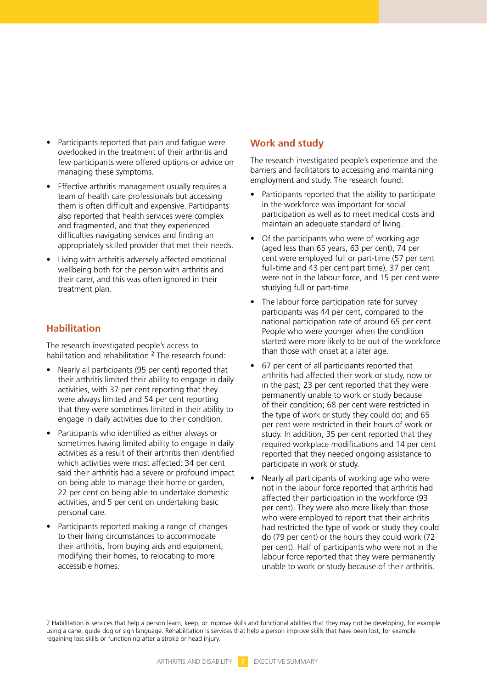- Participants reported that pain and fatique were overlooked in the treatment of their arthritis and few participants were offered options or advice on managing these symptoms.
- Effective arthritis management usually requires a team of health care professionals but accessing them is often difficult and expensive. Participants also reported that health services were complex and fragmented, and that they experienced difficulties navigating services and finding an appropriately skilled provider that met their needs.
- Living with arthritis adversely affected emotional wellbeing both for the person with arthritis and their carer, and this was often ignored in their treatment plan.

#### **Habilitation**

The research investigated people's access to habilitation and rehabilitation.<sup>2</sup> The research found:

- Nearly all participants (95 per cent) reported that their arthritis limited their ability to engage in daily activities, with 37 per cent reporting that they were always limited and 54 per cent reporting that they were sometimes limited in their ability to engage in daily activities due to their condition.
- • Participants who identified as either always or sometimes having limited ability to engage in daily activities as a result of their arthritis then identified which activities were most affected: 34 per cent said their arthritis had a severe or profound impact on being able to manage their home or garden, 22 per cent on being able to undertake domestic activities, and 5 per cent on undertaking basic personal care.
- Participants reported making a range of changes to their living circumstances to accommodate their arthritis, from buying aids and equipment, modifying their homes, to relocating to more accessible homes.

#### **Work and study**

The research investigated people's experience and the barriers and facilitators to accessing and maintaining employment and study. The research found:

- Participants reported that the ability to participate in the workforce was important for social participation as well as to meet medical costs and maintain an adequate standard of living.
- Of the participants who were of working age (aged less than 65 years, 63 per cent), 74 per cent were employed full or part-time (57 per cent full-time and 43 per cent part time), 37 per cent were not in the labour force, and 15 per cent were studying full or part-time.
- The labour force participation rate for survey participants was 44 per cent, compared to the national participation rate of around 65 per cent. People who were younger when the condition started were more likely to be out of the workforce than those with onset at a later age.
- 67 per cent of all participants reported that arthritis had affected their work or study, now or in the past; 23 per cent reported that they were permanently unable to work or study because of their condition; 68 per cent were restricted in the type of work or study they could do; and 65 per cent were restricted in their hours of work or study. In addition, 35 per cent reported that they required workplace modifications and 14 per cent reported that they needed ongoing assistance to participate in work or study.
- Nearly all participants of working age who were not in the labour force reported that arthritis had affected their participation in the workforce (93 per cent). They were also more likely than those who were employed to report that their arthritis had restricted the type of work or study they could do (79 per cent) or the hours they could work (72 per cent). Half of participants who were not in the labour force reported that they were permanently unable to work or study because of their arthritis.

2 Habilitation is services that help a person learn, keep, or improve skills and functional abilities that they may not be developing, for example using a cane, guide dog or sign language. Rehabilitation is services that help a person improve skills that have been lost, for example regaining lost skills or functioning after a stroke or head injury.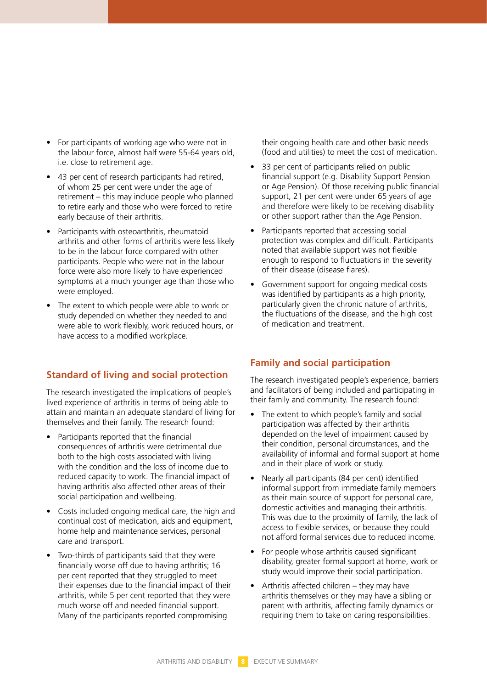- For participants of working age who were not in the labour force, almost half were 55-64 years old, i.e. close to retirement age.
- 43 per cent of research participants had retired, of whom 25 per cent were under the age of retirement – this may include people who planned to retire early and those who were forced to retire early because of their arthritis.
- • Participants with osteoarthritis, rheumatoid arthritis and other forms of arthritis were less likely to be in the labour force compared with other participants. People who were not in the labour force were also more likely to have experienced symptoms at a much younger age than those who were employed.
- The extent to which people were able to work or study depended on whether they needed to and were able to work flexibly, work reduced hours, or have access to a modified workplace.

#### **Standard of living and social protection**

The research investigated the implications of people's lived experience of arthritis in terms of being able to attain and maintain an adequate standard of living for themselves and their family. The research found:

- Participants reported that the financial consequences of arthritis were detrimental due both to the high costs associated with living with the condition and the loss of income due to reduced capacity to work. The financial impact of having arthritis also affected other areas of their social participation and wellbeing.
- Costs included ongoing medical care, the high and continual cost of medication, aids and equipment, home help and maintenance services, personal care and transport.
- Two-thirds of participants said that they were financially worse off due to having arthritis; 16 per cent reported that they struggled to meet their expenses due to the financial impact of their arthritis, while 5 per cent reported that they were much worse off and needed financial support. Many of the participants reported compromising

their ongoing health care and other basic needs (food and utilities) to meet the cost of medication.

- 33 per cent of participants relied on public financial support (e.g. Disability Support Pension or Age Pension). Of those receiving public financial support, 21 per cent were under 65 years of age and therefore were likely to be receiving disability or other support rather than the Age Pension.
- Participants reported that accessing social protection was complex and difficult. Participants noted that available support was not flexible enough to respond to fluctuations in the severity of their disease (disease flares).
- Government support for ongoing medical costs was identified by participants as a high priority, particularly given the chronic nature of arthritis, the fluctuations of the disease, and the high cost of medication and treatment.

### **Family and social participation**

The research investigated people's experience, barriers and facilitators of being included and participating in their family and community. The research found:

- The extent to which people's family and social participation was affected by their arthritis depended on the level of impairment caused by their condition, personal circumstances, and the availability of informal and formal support at home and in their place of work or study.
- Nearly all participants (84 per cent) identified informal support from immediate family members as their main source of support for personal care, domestic activities and managing their arthritis. This was due to the proximity of family, the lack of access to flexible services, or because they could not afford formal services due to reduced income.
- For people whose arthritis caused significant disability, greater formal support at home, work or study would improve their social participation.
- Arthritis affected children they may have arthritis themselves or they may have a sibling or parent with arthritis, affecting family dynamics or requiring them to take on caring responsibilities.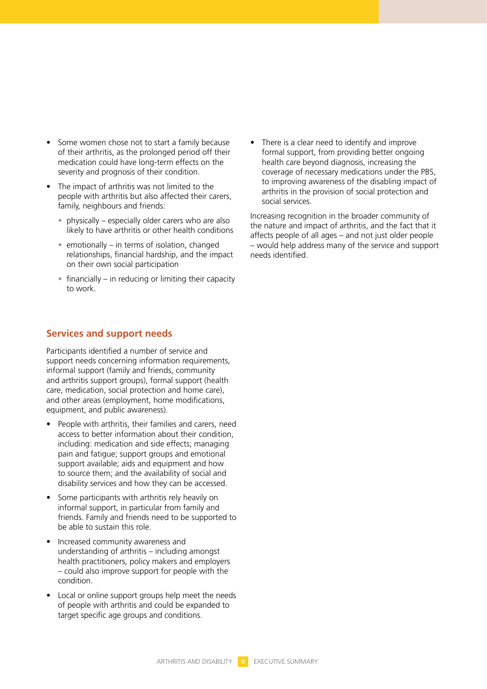- Some women chose not to start a family because of their arthritis, as the prolonged period off their medication could have long-term effects on the severity and prognosis of their condition.
- The impact of arthritis was not limited to the people with arthritis but also affected their carers, family, neighbours and friends:
	- physically especially older carers who are also likely to have arthritis or other health conditions
	- emotionally in terms of isolation, changed relationships, financial hardship, and the impact on their own social participation
	- $\bullet$  financially in reducing or limiting their capacity to work.

#### **Services and support needs**

Participants identified a number of service and support needs concerning information requirements, informal support (family and friends, community and arthritis support groups), formal support (health care, medication, social protection and home care), and other areas (employment, home modifications, equipment, and public awareness).

- • People with arthritis, their families and carers, need access to better information about their condition, including: medication and side effects; managing pain and fatigue; support groups and emotional support available; aids and equipment and how to source them; and the availability of social and disability services and how they can be accessed.
- Some participants with arthritis rely heavily on informal support, in particular from family and friends. Family and friends need to be supported to be able to sustain this role.
- Increased community awareness and understanding of arthritis – including amongst health practitioners, policy makers and employers – could also improve support for people with the condition.
- Local or online support groups help meet the needs of people with arthritis and could be expanded to target specific age groups and conditions.

There is a clear need to identify and improve formal support, from providing better ongoing health care beyond diagnosis, increasing the coverage of necessary medications under the PBS, to improving awareness of the disabling impact of arthritis in the provision of social protection and social services.

Increasing recognition in the broader community of the nature and impact of arthritis, and the fact that it affects people of all ages – and not just older people – would help address many of the service and support needs identified.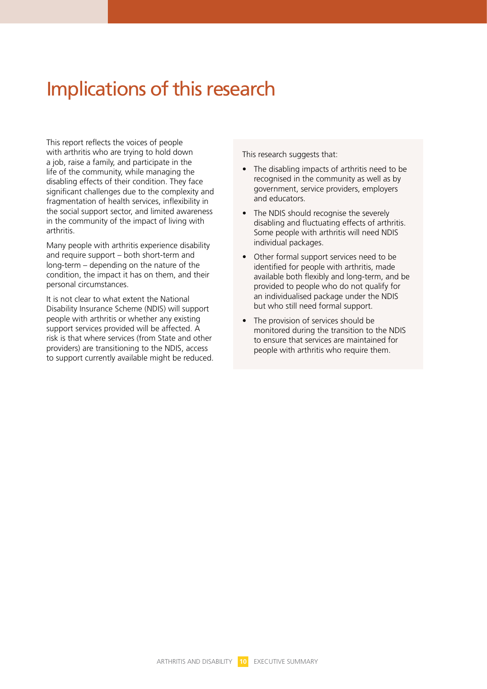### Implications of this research

This report reflects the voices of people with arthritis who are trying to hold down a job, raise a family, and participate in the life of the community, while managing the disabling effects of their condition. They face significant challenges due to the complexity and fragmentation of health services, inflexibility in the social support sector, and limited awareness in the community of the impact of living with arthritis.

Many people with arthritis experience disability and require support – both short-term and long-term – depending on the nature of the condition, the impact it has on them, and their personal circumstances.

It is not clear to what extent the National Disability Insurance Scheme (NDIS) will support people with arthritis or whether any existing support services provided will be affected. A risk is that where services (from State and other providers) are transitioning to the NDIS, access to support currently available might be reduced. This research suggests that:

- The disabling impacts of arthritis need to be recognised in the community as well as by government, service providers, employers and educators.
- The NDIS should recognise the severely disabling and fluctuating effects of arthritis. Some people with arthritis will need NDIS individual packages.
- Other formal support services need to be identified for people with arthritis, made available both flexibly and long-term, and be provided to people who do not qualify for an individualised package under the NDIS but who still need formal support.
- The provision of services should be monitored during the transition to the NDIS to ensure that services are maintained for people with arthritis who require them.